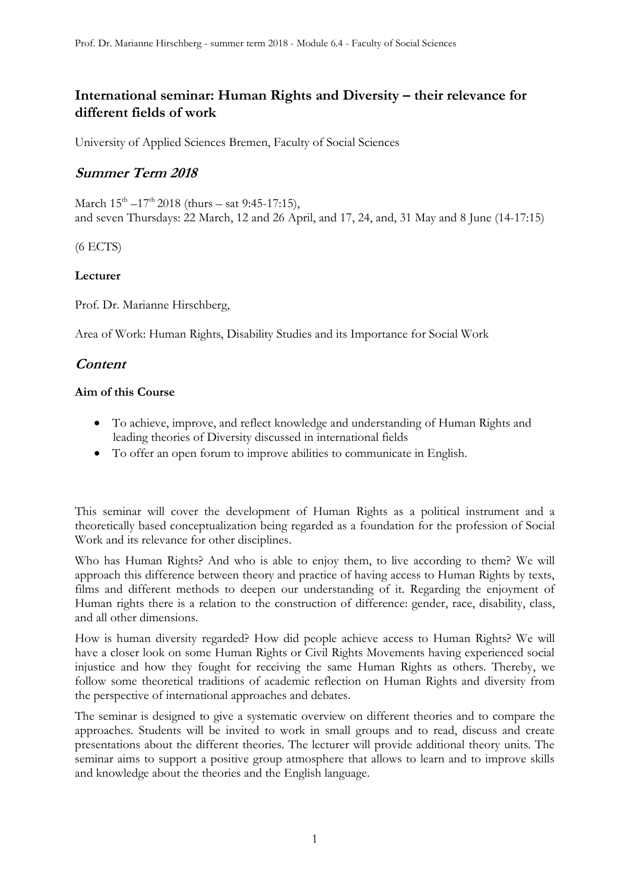# **International seminar: Human Rights and Diversity – their relevance for different fields of work**

University of Applied Sciences Bremen, Faculty of Social Sciences

# **Summer Term 2018**

March  $15^{\text{th}}$  –17<sup>th</sup> 2018 (thurs – sat 9:45-17:15), and seven Thursdays: 22 March, 12 and 26 April, and 17, 24, and, 31 May and 8 June (14-17:15)

(6 ECTS)

# **Lecturer**

Prof. Dr. Marianne Hirschberg,

Area of Work: Human Rights, Disability Studies and its Importance for Social Work

# **Content**

# **Aim of this Course**

- To achieve, improve, and reflect knowledge and understanding of Human Rights and leading theories of Diversity discussed in international fields
- To offer an open forum to improve abilities to communicate in English.

This seminar will cover the development of Human Rights as a political instrument and a theoretically based conceptualization being regarded as a foundation for the profession of Social Work and its relevance for other disciplines.

Who has Human Rights? And who is able to enjoy them, to live according to them? We will approach this difference between theory and practice of having access to Human Rights by texts, films and different methods to deepen our understanding of it. Regarding the enjoyment of Human rights there is a relation to the construction of difference: gender, race, disability, class, and all other dimensions.

How is human diversity regarded? How did people achieve access to Human Rights? We will have a closer look on some Human Rights or Civil Rights Movements having experienced social injustice and how they fought for receiving the same Human Rights as others. Thereby, we follow some theoretical traditions of academic reflection on Human Rights and diversity from the perspective of international approaches and debates.

The seminar is designed to give a systematic overview on different theories and to compare the approaches. Students will be invited to work in small groups and to read, discuss and create presentations about the different theories. The lecturer will provide additional theory units. The seminar aims to support a positive group atmosphere that allows to learn and to improve skills and knowledge about the theories and the English language.